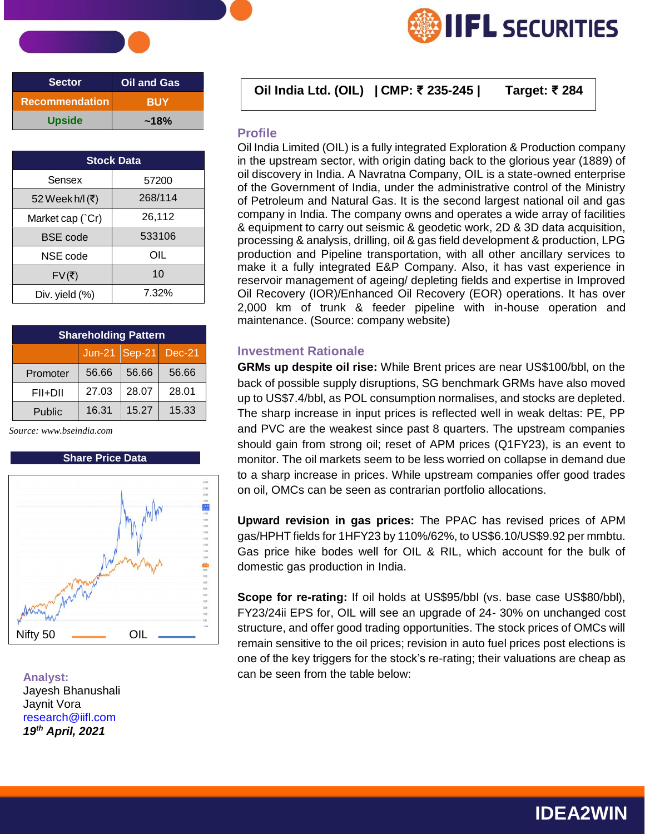| <b>Sector</b>         | <b>Oil and Gas</b> |
|-----------------------|--------------------|
| <b>Recommendation</b> | <b>BUY</b>         |
| <b>Upside</b>         | $~18\%$            |

| <b>Stock Data</b> |         |  |  |
|-------------------|---------|--|--|
| Sensex            | 57200   |  |  |
| 52 Week h/l (₹)   | 268/114 |  |  |
| Market cap (`Cr)  | 26,112  |  |  |
| <b>BSE</b> code   | 533106  |  |  |
| NSE code          | OIL     |  |  |
| FV(₹)             | 10      |  |  |
| Div. yield (%)    | 7.32%   |  |  |

| <b>Shareholding Pattern</b> |                      |       |       |  |  |  |
|-----------------------------|----------------------|-------|-------|--|--|--|
|                             | Jun-21 Sep-21 Dec-21 |       |       |  |  |  |
| Promoter                    | 56.66                | 56.66 | 56.66 |  |  |  |
| FII+DII                     | 27.03                | 28.07 | 28.01 |  |  |  |
| Public                      | 16.31                | 15.27 | 15.33 |  |  |  |

 *Source: [www.bseindia.com](http://www.bseindia.com/)*

### **Share Price Data**



**Analyst:** Jayesh Bhanushali Jaynit Vora [research@iifl.com](mailto:research@iifl.com) *19th April, 2021*

## **Oil India Ltd. (OIL) | CMP: ₹ 235-245 | Target: ₹ <sup>284</sup> Sector Oil and Gas**

#### **Profile**

Oil India Limited (OIL) is a fully integrated Exploration & Production company in the upstream sector, with origin dating back to the glorious year (1889) of oil discovery in India. A Navratna Company, OIL is a state-owned enterprise of the Government of India, under the administrative control of the Ministry of Petroleum and Natural Gas. It is the second largest national oil and gas company in India. The company owns and operates a wide array of facilities & equipment to carry out seismic & geodetic work, 2D & 3D data acquisition, processing & analysis, drilling, oil & gas field development & production, LPG production and Pipeline transportation, with all other ancillary services to make it a fully integrated E&P Company. Also, it has vast experience in reservoir management of ageing/ depleting fields and expertise in Improved Oil Recovery (IOR)/Enhanced Oil Recovery (EOR) operations. It has over 2,000 km of trunk & feeder pipeline with in-house operation and maintenance. (Source: company website)

**IFL SECURITIES** 

#### **Investment Rationale**

**GRMs up despite oil rise:** While Brent prices are near US\$100/bbl, on the back of possible supply disruptions, SG benchmark GRMs have also moved up to US\$7.4/bbl, as POL consumption normalises, and stocks are depleted. The sharp increase in input prices is reflected well in weak deltas: PE, PP and PVC are the weakest since past 8 quarters. The upstream companies should gain from strong oil; reset of APM prices (Q1FY23), is an event to monitor. The oil markets seem to be less worried on collapse in demand due to a sharp increase in prices. While upstream companies offer good trades on oil, OMCs can be seen as contrarian portfolio allocations.

**Upward revision in gas prices:** The PPAC has revised prices of APM gas/HPHT fields for 1HFY23 by 110%/62%, to US\$6.10/US\$9.92 per mmbtu. Gas price hike bodes well for OIL & RIL, which account for the bulk of domestic gas production in India.

**Scope for re-rating:** If oil holds at US\$95/bbl (vs. base case US\$80/bbl), FY23/24ii EPS for, OIL will see an upgrade of 24- 30% on unchanged cost structure, and offer good trading opportunities. The stock prices of OMCs will remain sensitive to the oil prices; revision in auto fuel prices post elections is one of the key triggers for the stock's re-rating; their valuations are cheap as can be seen from the table below:

# **IDEA2WIN**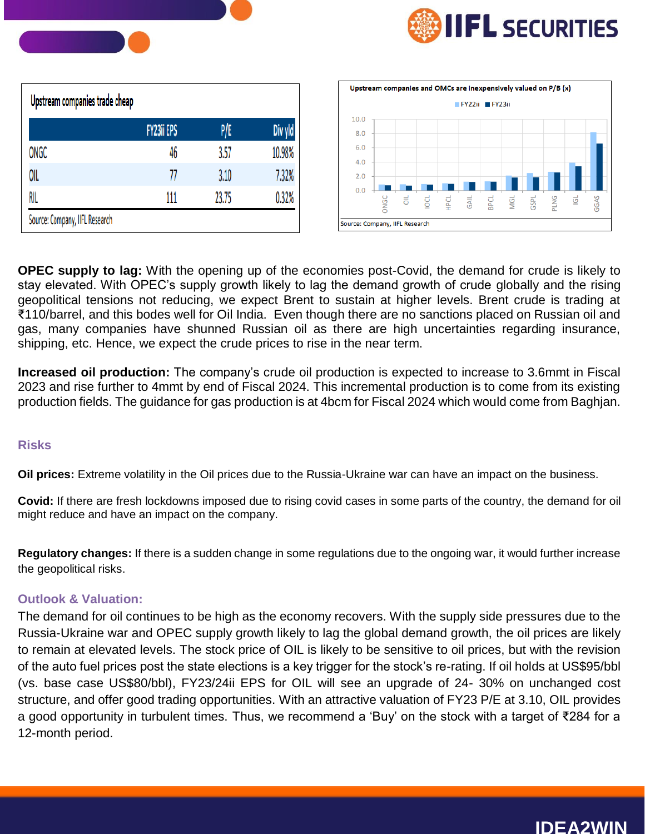

| Upstream companies trade cheap |                   |       |         |
|--------------------------------|-------------------|-------|---------|
|                                | <b>FY23ii EPS</b> | P/E   | Div yld |
| ONGC                           | 46                | 3.57  | 10.98%  |
| OIL                            | 77                | 3.10  | 7.32%   |
| RIL                            | 111               | 23.75 | 0.32%   |
| Source: Company, IIFL Research |                   |       |         |



**OPEC supply to lag:** With the opening up of the economies post-Covid, the demand for crude is likely to stay elevated. With OPEC's supply growth likely to lag the demand growth of crude globally and the rising geopolitical tensions not reducing, we expect Brent to sustain at higher levels. Brent crude is trading at ₹110/barrel, and this bodes well for Oil India. Even though there are no sanctions placed on Russian oil and gas, many companies have shunned Russian oil as there are high uncertainties regarding insurance, shipping, etc. Hence, we expect the crude prices to rise in the near term.

**Increased oil production:** The company's crude oil production is expected to increase to 3.6mmt in Fiscal 2023 and rise further to 4mmt by end of Fiscal 2024. This incremental production is to come from its existing production fields. The guidance for gas production is at 4bcm for Fiscal 2024 which would come from Baghjan.

### **Risks**

**Oil prices:** Extreme volatility in the Oil prices due to the Russia-Ukraine war can have an impact on the business.

**Covid:** If there are fresh lockdowns imposed due to rising covid cases in some parts of the country, the demand for oil might reduce and have an impact on the company.

**Regulatory changes:** If there is a sudden change in some regulations due to the ongoing war, it would further increase the geopolitical risks.

## **Outlook & Valuation:**

The demand for oil continues to be high as the economy recovers. With the supply side pressures due to the Russia-Ukraine war and OPEC supply growth likely to lag the global demand growth, the oil prices are likely to remain at elevated levels. The stock price of OIL is likely to be sensitive to oil prices, but with the revision of the auto fuel prices post the state elections is a key trigger for the stock's re-rating. If oil holds at US\$95/bbl (vs. base case US\$80/bbl), FY23/24ii EPS for OIL will see an upgrade of 24- 30% on unchanged cost structure, and offer good trading opportunities. With an attractive valuation of FY23 P/E at 3.10, OIL provides a good opportunity in turbulent times. Thus, we recommend a 'Buy' on the stock with a target of ₹284 for a 12-month period.